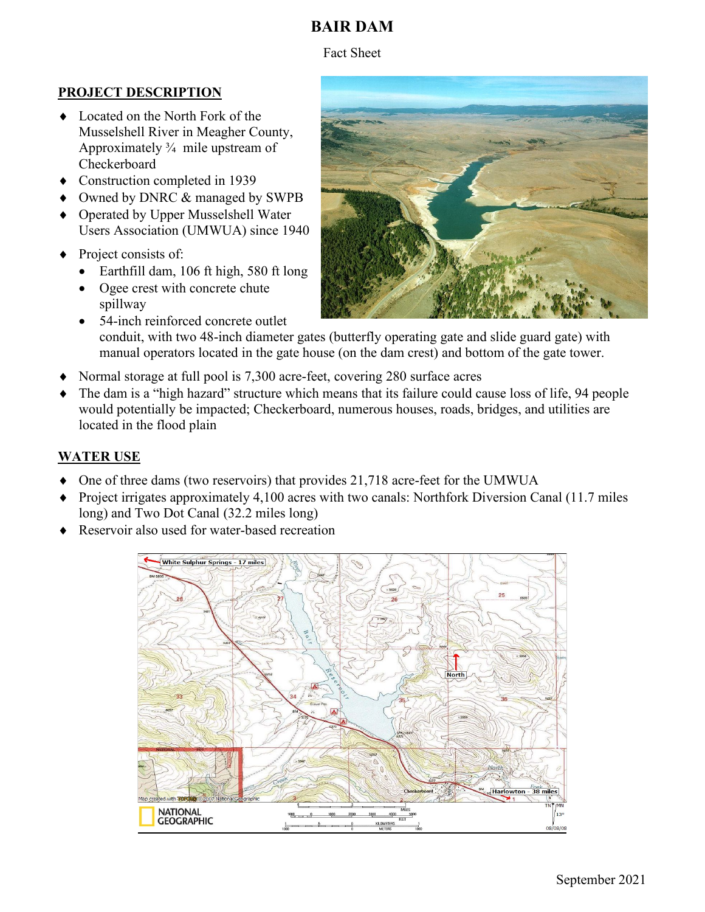# **BAIR DAM**

Fact Sheet

### **PROJECT DESCRIPTION**

- ♦ Located on the North Fork of the Musselshell River in Meagher County, Approximately  $\frac{3}{4}$  mile upstream of Checkerboard
- Construction completed in 1939
- Owned by DNRC & managed by SWPB
- Operated by Upper Musselshell Water Users Association (UMWUA) since 1940
- Project consists of:
	- Earthfill dam, 106 ft high, 580 ft long
	- Ogee crest with concrete chute spillway
	- 54-inch reinforced concrete outlet conduit, with two 48-inch diameter gates (butterfly operating gate and slide guard gate) with manual operators located in the gate house (on the dam crest) and bottom of the gate tower.
- Normal storage at full pool is 7,300 acre-feet, covering 280 surface acres
- The dam is a "high hazard" structure which means that its failure could cause loss of life, 94 people would potentially be impacted; Checkerboard, numerous houses, roads, bridges, and utilities are located in the flood plain

### **WATER USE**

- ♦ One of three dams (two reservoirs) that provides 21,718 acre-feet for the UMWUA
- ♦ Project irrigates approximately 4,100 acres with two canals: Northfork Diversion Canal (11.7 miles long) and Two Dot Canal (32.2 miles long)
- Reservoir also used for water-based recreation